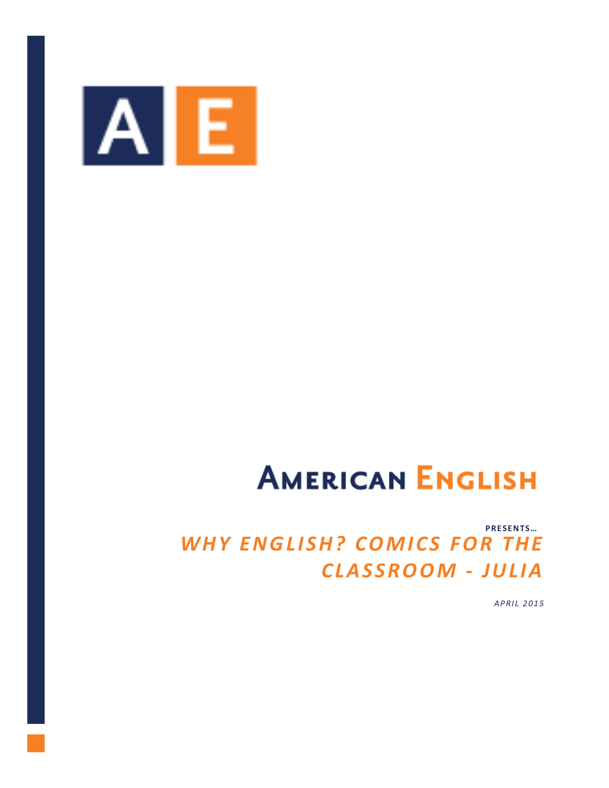

# **AMERICAN ENGLISH**

## PRESENTS... WHY ENGLISH? COMICS FOR THE **CLASSROOM - JULIA**

APRIL 2015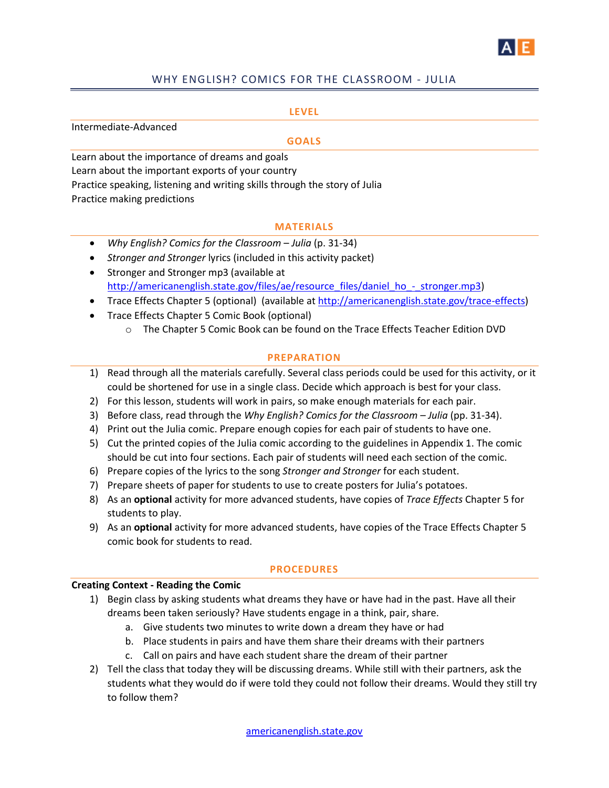

#### WHY ENGLISH? COMICS FOR THE CLASSROOM - JULIA

#### **LEVEL**

Intermediate-Advanced **GOALS** Learn about the importance of dreams and goals Learn about the important exports of your country Practice speaking, listening and writing skills through the story of Julia Practice making predictions

#### **MATERIALS**

- *Why English? Comics for the Classroom Julia* (p. 31-34)
- *Stronger and Stronger* lyrics (included in this activity packet) • Stronger and Stronger mp3 (available at
- [http://americanenglish.state.gov/files/ae/resource\\_files/daniel\\_ho\\_-\\_stronger.mp3\)](http://americanenglish.state.gov/files/ae/resource_files/daniel_ho_-_stronger.mp3)
- Trace Effects Chapter 5 (optional) (available a[t http://americanenglish.state.gov/trace-effects\)](http://americanenglish.state.gov/trace-effects)
- Trace Effects Chapter 5 Comic Book (optional)
	- o The Chapter 5 Comic Book can be found on the Trace Effects Teacher Edition DVD

#### **PREPARATION**

- 1) Read through all the materials carefully. Several class periods could be used for this activity, or it could be shortened for use in a single class. Decide which approach is best for your class.
- 2) For this lesson, students will work in pairs, so make enough materials for each pair.
- 3) Before class, read through the *Why English? Comics for the Classroom – Julia* (pp. 31-34).
- 4) Print out the Julia comic. Prepare enough copies for each pair of students to have one.
- 5) Cut the printed copies of the Julia comic according to the guidelines in Appendix 1. The comic should be cut into four sections. Each pair of students will need each section of the comic.
- 6) Prepare copies of the lyrics to the song *Stronger and Stronger* for each student.
- 7) Prepare sheets of paper for students to use to create posters for Julia's potatoes.
- 8) As an **optional** activity for more advanced students, have copies of *Trace Effects* Chapter 5 for students to play.
- 9) As an **optional** activity for more advanced students, have copies of the Trace Effects Chapter 5 comic book for students to read.

#### **PROCEDURES**

#### **Creating Context - Reading the Comic**

- 1) Begin class by asking students what dreams they have or have had in the past. Have all their dreams been taken seriously? Have students engage in a think, pair, share.
	- a. Give students two minutes to write down a dream they have or had
	- b. Place students in pairs and have them share their dreams with their partners
	- c. Call on pairs and have each student share the dream of their partner
- 2) Tell the class that today they will be discussing dreams. While still with their partners, ask the students what they would do if were told they could not follow their dreams. Would they still try to follow them?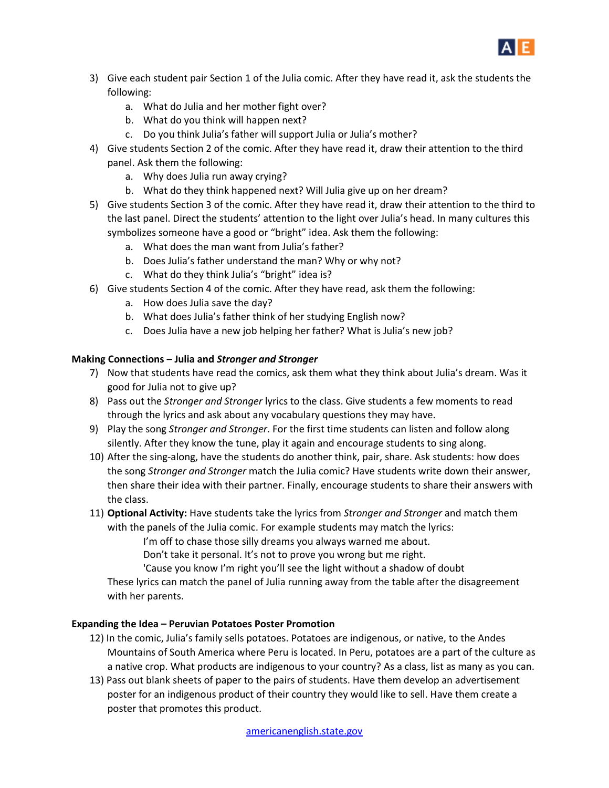

- 3) Give each student pair Section 1 of the Julia comic. After they have read it, ask the students the following:
	- a. What do Julia and her mother fight over?
	- b. What do you think will happen next?
	- c. Do you think Julia's father will support Julia or Julia's mother?
- 4) Give students Section 2 of the comic. After they have read it, draw their attention to the third panel. Ask them the following:
	- a. Why does Julia run away crying?
	- b. What do they think happened next? Will Julia give up on her dream?
- 5) Give students Section 3 of the comic. After they have read it, draw their attention to the third to the last panel. Direct the students' attention to the light over Julia's head. In many cultures this symbolizes someone have a good or "bright" idea. Ask them the following:
	- a. What does the man want from Julia's father?
	- b. Does Julia's father understand the man? Why or why not?
	- c. What do they think Julia's "bright" idea is?
- 6) Give students Section 4 of the comic. After they have read, ask them the following:
	- a. How does Julia save the day?
	- b. What does Julia's father think of her studying English now?
	- c. Does Julia have a new job helping her father? What is Julia's new job?

#### **Making Connections – Julia and** *Stronger and Stronger*

- 7) Now that students have read the comics, ask them what they think about Julia's dream. Was it good for Julia not to give up?
- 8) Pass out the *Stronger and Stronger* lyrics to the class. Give students a few moments to read through the lyrics and ask about any vocabulary questions they may have.
- 9) Play the song *Stronger and Stronger*. For the first time students can listen and follow along silently. After they know the tune, play it again and encourage students to sing along.
- 10) After the sing-along, have the students do another think, pair, share. Ask students: how does the song *Stronger and Stronger* match the Julia comic? Have students write down their answer, then share their idea with their partner. Finally, encourage students to share their answers with the class.
- 11) **Optional Activity:** Have students take the lyrics from *Stronger and Stronger* and match them with the panels of the Julia comic. For example students may match the lyrics:

I'm off to chase those silly dreams you always warned me about.

Don't take it personal. It's not to prove you wrong but me right.

'Cause you know I'm right you'll see the light without a shadow of doubt

These lyrics can match the panel of Julia running away from the table after the disagreement with her parents.

#### **Expanding the Idea – Peruvian Potatoes Poster Promotion**

- 12) In the comic, Julia's family sells potatoes. Potatoes are indigenous, or native, to the Andes Mountains of South America where Peru is located. In Peru, potatoes are a part of the culture as a native crop. What products are indigenous to your country? As a class, list as many as you can.
- 13) Pass out blank sheets of paper to the pairs of students. Have them develop an advertisement poster for an indigenous product of their country they would like to sell. Have them create a poster that promotes this product.

[americanenglish.state.gov](http://americanenglish.state.gov/)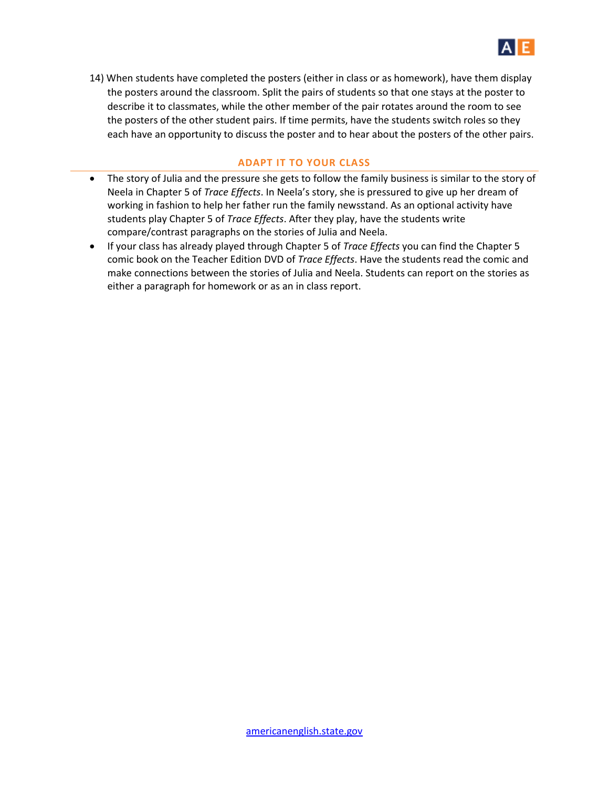

14) When students have completed the posters (either in class or as homework), have them display the posters around the classroom. Split the pairs of students so that one stays at the poster to describe it to classmates, while the other member of the pair rotates around the room to see the posters of the other student pairs. If time permits, have the students switch roles so they each have an opportunity to discuss the poster and to hear about the posters of the other pairs.

#### **ADAPT IT TO YOUR CLASS**

- The story of Julia and the pressure she gets to follow the family business is similar to the story of Neela in Chapter 5 of *Trace Effects*. In Neela's story, she is pressured to give up her dream of working in fashion to help her father run the family newsstand. As an optional activity have students play Chapter 5 of *Trace Effects*. After they play, have the students write compare/contrast paragraphs on the stories of Julia and Neela.
- If your class has already played through Chapter 5 of *Trace Effects* you can find the Chapter 5 comic book on the Teacher Edition DVD of *Trace Effects*. Have the students read the comic and make connections between the stories of Julia and Neela. Students can report on the stories as either a paragraph for homework or as an in class report.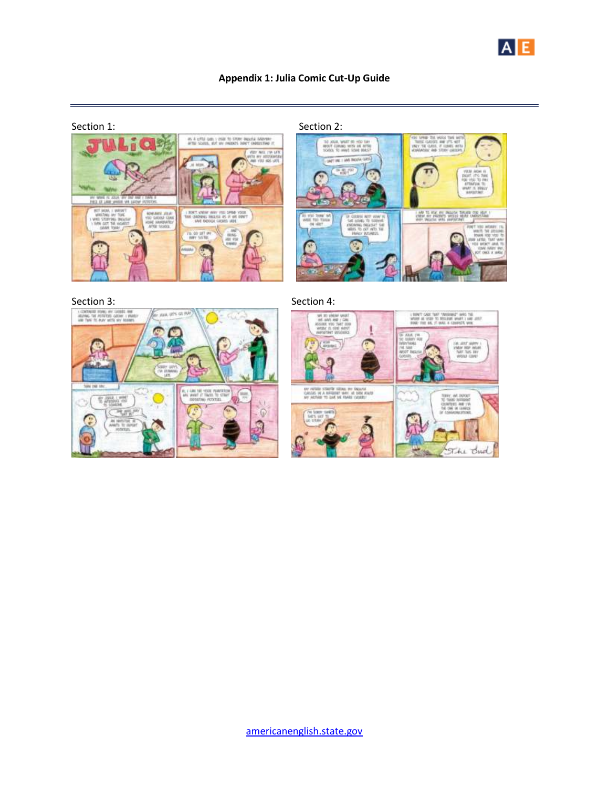

### **Appendix 1: Julia Comic Cut-Up Guide**